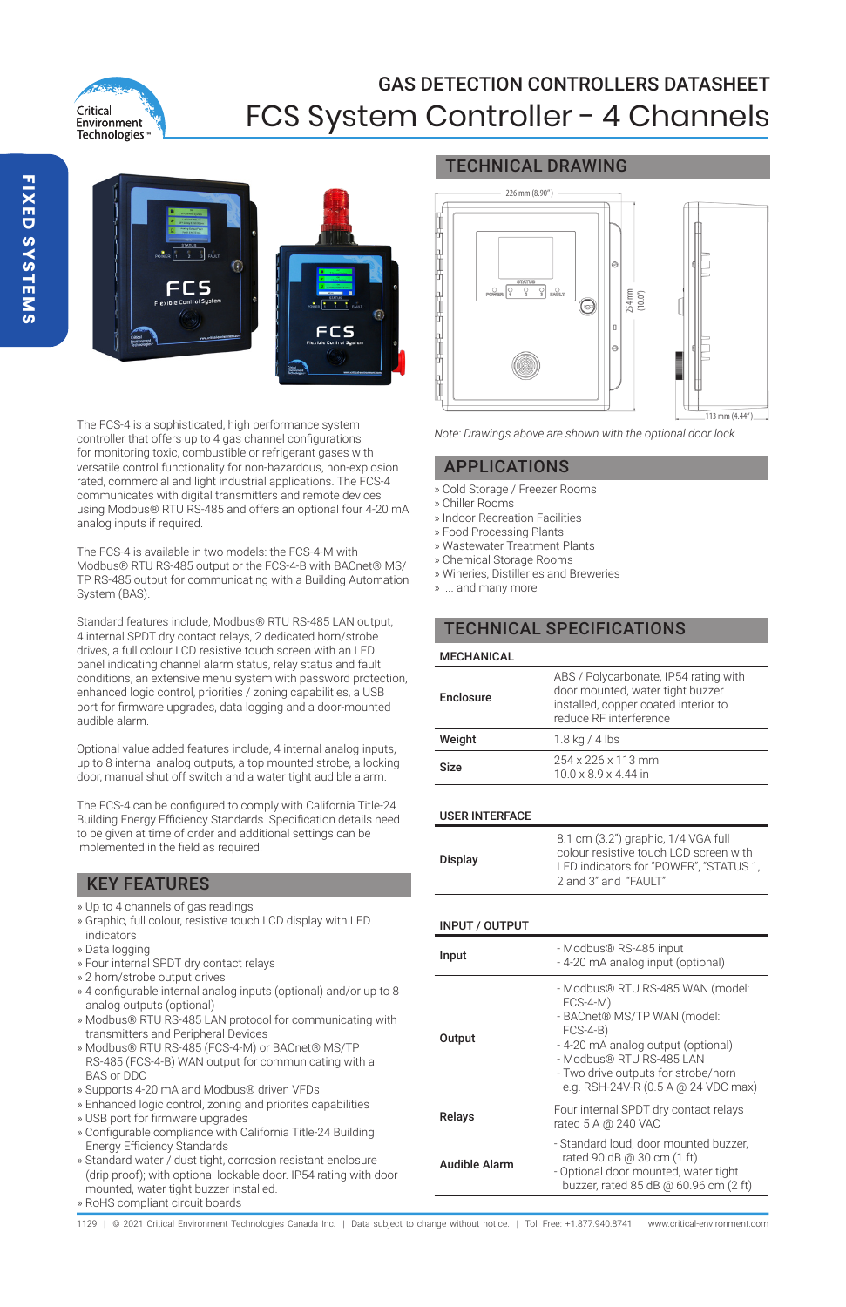

# GAS DETECTION CONTROLLERS DATASHEET FCS System Controller - 4 Channels



The FCS-4 is a sophisticated, high performance system controller that offers up to 4 gas channel configurations for monitoring toxic, combustible or refrigerant gases with versatile control functionality for non-hazardous, non-explosion rated, commercial and light industrial applications. The FCS-4 communicates with digital transmitters and remote devices using Modbus® RTU RS-485 and offers an optional four 4-20 mA analog inputs if required.

The FCS-4 is available in two models: the FCS-4-M with Modbus® RTU RS-485 output or the FCS-4-B with BACnet® MS/ TP RS-485 output for communicating with a Building Automation System (BAS).

Standard features include, Modbus® RTU RS-485 LAN output, 4 internal SPDT dry contact relays, 2 dedicated horn/strobe drives, a full colour LCD resistive touch screen with an LED panel indicating channel alarm status, relay status and fault conditions, an extensive menu system with password protection, enhanced logic control, priorities / zoning capabilities, a USB port for firmware upgrades, data logging and a door-mounted audible alarm.

Optional value added features include, 4 internal analog inputs, up to 8 internal analog outputs, a top mounted strobe, a locking door, manual shut off switch and a water tight audible alarm.

The FCS-4 can be configured to comply with California Title-24 Building Energy Efficiency Standards. Specification details need to be given at time of order and additional settings can be implemented in the field as required.

# KEY FEATURES

- » Up to 4 channels of gas readings
- » Graphic, full colour, resistive touch LCD display with LED indicators
- » Data logging
- » Four internal SPDT dry contact relays
- » 2 horn/strobe output drives
- » 4 configurable internal analog inputs (optional) and/or up to 8 analog outputs (optional)
- » Modbus® RTU RS-485 LAN protocol for communicating with transmitters and Peripheral Devices
- » Modbus® RTU RS-485 (FCS-4-M) or BACnet® MS/TP RS-485 (FCS-4-B) WAN output for communicating with a BAS or DDC
- » Supports 4-20 mA and Modbus® driven VFDs
- » Enhanced logic control, zoning and priorites capabilities
- » USB port for firmware upgrades
- » Configurable compliance with California Title-24 Building Energy Efficiency Standards
- » Standard water / dust tight, corrosion resistant enclosure (drip proof); with optional lockable door. IP54 rating with door mounted, water tight buzzer installed.
- » RoHS compliant circuit boards

# TECHNICAL DRAWING



*Note: Drawings above are shown with the optional door lock.*

### APPLICATIONS

- » Cold Storage / Freezer Rooms
- » Chiller Rooms
- » Indoor Recreation Facilities
- » Food Processing Plants
- » Wastewater Treatment Plants
- » Chemical Storage Rooms
- » Wineries, Distilleries and Breweries
- » ... and many more

# TECHNICAL SPECIFICATIONS

| <b>MECHANICAL</b> |                                                                                                                                             |
|-------------------|---------------------------------------------------------------------------------------------------------------------------------------------|
| Enclosure         | ABS / Polycarbonate, IP54 rating with<br>door mounted, water tight buzzer<br>installed, copper coated interior to<br>reduce RF interference |
| Weight            | $1.8$ kg / 4 lbs                                                                                                                            |
| Size              | 254 x 226 x 113 mm<br>$10.0 \times 8.9 \times 4.44$ in                                                                                      |

### USER INTERFACE

| 8.1 cm (3.2") graphic, 1/4 VGA full<br>colour resistive touch LCD screen with<br>Display<br>LED indicators for "POWER". "STATUS 1.<br>2 and 3" and "FAULT" |
|------------------------------------------------------------------------------------------------------------------------------------------------------------|
|------------------------------------------------------------------------------------------------------------------------------------------------------------|

### INPUT / OUTPUT

| Input         | - Modbus® RS-485 input<br>- 4-20 mA analog input (optional)                                                                                                                                                                                |
|---------------|--------------------------------------------------------------------------------------------------------------------------------------------------------------------------------------------------------------------------------------------|
| Output        | - Modbus® RTU RS-485 WAN (model:<br>$FCS-4-M$<br>- BACnet® MS/TP WAN (model:<br>$FCS-4-B)$<br>- 4-20 mA analog output (optional)<br>- Modbus® RTU RS-485 LAN<br>- Two drive outputs for strobe/horn<br>e.g. RSH-24V-R (0.5 A @ 24 VDC max) |
| Relays        | Four internal SPDT dry contact relays<br>rated 5 A @ 240 VAC                                                                                                                                                                               |
| Audible Alarm | - Standard loud, door mounted buzzer,<br>rated 90 dB @ 30 cm (1 ft)<br>- Optional door mounted, water tight<br>buzzer, rated 85 dB @ 60.96 cm (2 ft)                                                                                       |

1129 | © 2021 Critical Environment Technologies Canada Inc. | Data subject to change without notice. | Toll Free: +1.877.940.8741 | www.critical-environment.com